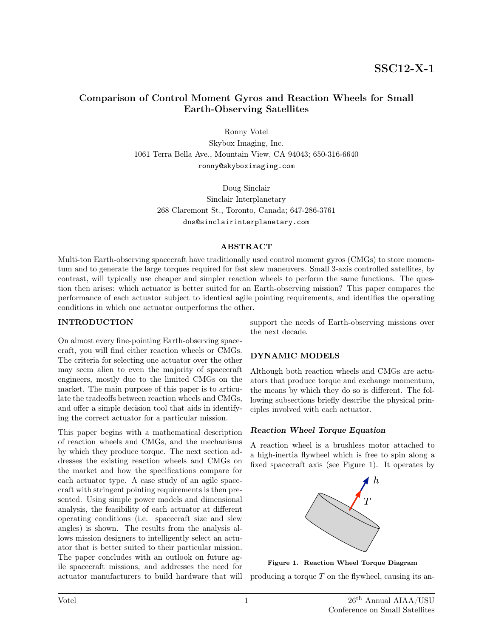# Comparison of Control Moment Gyros and Reaction Wheels for Small Earth-Observing Satellites

Ronny Votel

Skybox Imaging, Inc. 1061 Terra Bella Ave., Mountain View, CA 94043; 650-316-6640 ronny@skyboximaging.com

Doug Sinclair Sinclair Interplanetary 268 Claremont St., Toronto, Canada; 647-286-3761 dns@sinclairinterplanetary.com

#### **ABSTRACT**

Multi-ton Earth-observing spacecraft have traditionally used control moment gyros (CMGs) to store momentum and to generate the large torques required for fast slew maneuvers. Small 3-axis controlled satellites, by contrast, will typically use cheaper and simpler reaction wheels to perform the same functions. The question then arises: which actuator is better suited for an Earth-observing mission? This paper compares the performance of each actuator subject to identical agile pointing requirements, and identifies the operating conditions in which one actuator outperforms the other.

### INTRODUCTION

On almost every fine-pointing Earth-observing spacecraft, you will find either reaction wheels or CMGs. The criteria for selecting one actuator over the other may seem alien to even the majority of spacecraft engineers, mostly due to the limited CMGs on the market. The main purpose of this paper is to articulate the tradeoffs between reaction wheels and CMGs, and offer a simple decision tool that aids in identifying the correct actuator for a particular mission.

This paper begins with a mathematical description of reaction wheels and CMGs, and the mechanisms by which they produce torque. The next section addresses the existing reaction wheels and CMGs on the market and how the specifications compare for each actuator type. A case study of an agile spacecraft with stringent pointing requirements is then presented. Using simple power models and dimensional analysis, the feasibility of each actuator at different operating conditions (i.e. spacecraft size and slew angles) is shown. The results from the analysis allows mission designers to intelligently select an actuator that is better suited to their particular mission. The paper concludes with an outlook on future agile spacecraft missions, and addresses the need for actuator manufacturers to build hardware that will

support the needs of Earth-observing missions over the next decade.

# DYNAMIC MODELS

Although both reaction wheels and CMGs are actuators that produce torque and exchange momentum, the means by which they do so is different. The following subsections briefly describe the physical principles involved with each actuator.

## Reaction Wheel Torque Equation

A reaction wheel is a brushless motor attached to a high-inertia flywheel which is free to spin along a fixed spacecraft axis (see Figure 1). It operates by



Figure 1. Reaction Wheel Torque Diagram

producing a torque  $T$  on the flywheel, causing its an-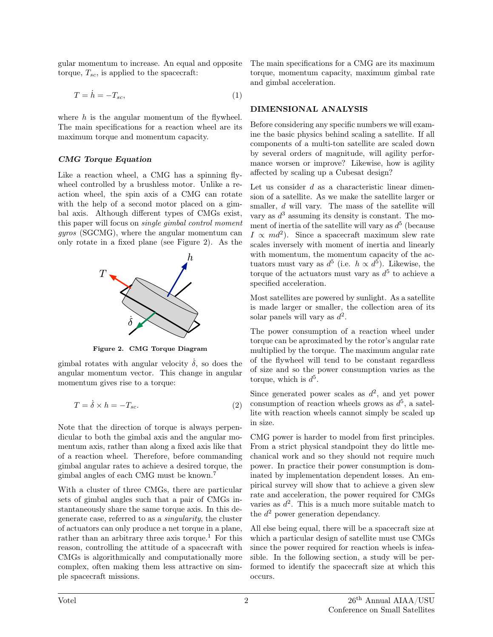gular momentum to increase. An equal and opposite torque,  $T_{sc}$ , is applied to the spacecraft:

$$
T = \dot{h} = -T_{sc},\tag{1}
$$

where  $h$  is the angular momentum of the flywheel. The main specifications for a reaction wheel are its maximum torque and momentum capacity.

## CMG Torque Equation

Like a reaction wheel, a CMG has a spinning flywheel controlled by a brushless motor. Unlike a reaction wheel, the spin axis of a CMG can rotate with the help of a second motor placed on a gimbal axis. Although different types of CMGs exist, this paper will focus on single gimbal control moment gyros (SGCMG), where the angular momentum can only rotate in a fixed plane (see Figure 2). As the



Figure 2. CMG Torque Diagram

gimbal rotates with angular velocity  $\dot{\delta}$ , so does the angular momentum vector. This change in angular momentum gives rise to a torque:

$$
T = \dot{\delta} \times h = -T_{sc}.
$$
 (2)

Note that the direction of torque is always perpendicular to both the gimbal axis and the angular momentum axis, rather than along a fixed axis like that of a reaction wheel. Therefore, before commanding gimbal angular rates to achieve a desired torque, the gimbal angles of each CMG must be known.<sup>7</sup>

With a cluster of three CMGs, there are particular sets of gimbal angles such that a pair of CMGs instantaneously share the same torque axis. In this degenerate case, referred to as a singularity, the cluster of actuators can only produce a net torque in a plane, rather than an arbitrary three axis torque.<sup>1</sup> For this reason, controlling the attitude of a spacecraft with CMGs is algorithmically and computationally more complex, often making them less attractive on simple spacecraft missions.

The main specifications for a CMG are its maximum torque, momentum capacity, maximum gimbal rate and gimbal acceleration.

## DIMENSIONAL ANALYSIS

Before considering any specific numbers we will examine the basic physics behind scaling a satellite. If all components of a multi-ton satellite are scaled down by several orders of magnitude, will agility performance worsen or improve? Likewise, how is agility affected by scaling up a Cubesat design?

Let us consider  $d$  as a characteristic linear dimension of a satellite. As we make the satellite larger or smaller, d will vary. The mass of the satellite will vary as  $d^3$  assuming its density is constant. The moment of inertia of the satellite will vary as  $d^5$  (because  $I \propto md^2$ ). Since a spacecraft maximum slew rate scales inversely with moment of inertia and linearly with momentum, the momentum capacity of the actuators must vary as  $d^5$  (i.e.  $h \propto d^5$ ). Likewise, the torque of the actuators must vary as  $d^5$  to achieve a specified acceleration.

Most satellites are powered by sunlight. As a satellite is made larger or smaller, the collection area of its solar panels will vary as  $d^2$ .

The power consumption of a reaction wheel under torque can be aproximated by the rotor's angular rate multiplied by the torque. The maximum angular rate of the flywheel will tend to be constant regardless of size and so the power consumption varies as the torque, which is  $d^5$ .

Since generated power scales as  $d^2$ , and yet power consumption of reaction wheels grows as  $d^5$ , a satellite with reaction wheels cannot simply be scaled up in size.

CMG power is harder to model from first principles. From a strict physical standpoint they do little mechanical work and so they should not require much power. In practice their power consumption is dominated by implementation dependent losses. An empirical survey will show that to achieve a given slew rate and acceleration, the power required for CMGs varies as  $d^2$ . This is a much more suitable match to the  $d^2$  power generation dependancy.

All else being equal, there will be a spacecraft size at which a particular design of satellite must use CMGs since the power required for reaction wheels is infeasible. In the following section, a study will be performed to identify the spacecraft size at which this occurs.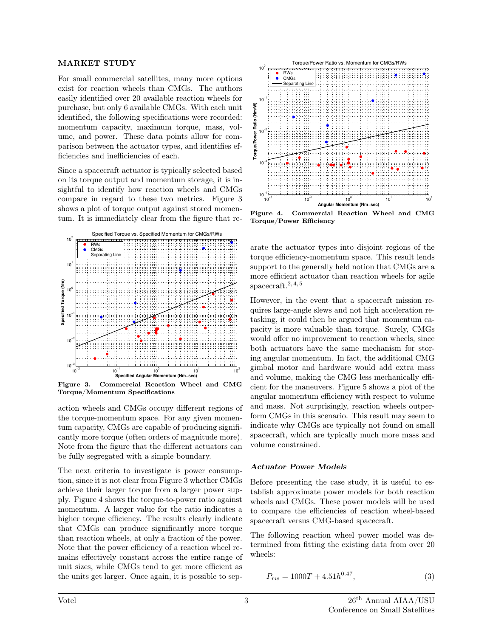#### MARKET STUDY

For small commercial satellites, many more options exist for reaction wheels than CMGs. The authors easily identified over 20 available reaction wheels for purchase, but only 6 available CMGs. With each unit identified, the following specifications were recorded: momentum capacity, maximum torque, mass, volume, and power. These data points allow for comparison between the actuator types, and identifies efficiencies and inefficiencies of each.

Since a spacecraft actuator is typically selected based on its torque output and momentum storage, it is insightful to identify how reaction wheels and CMGs compare in regard to these two metrics. Figure 3 shows a plot of torque output against stored momentum. It is immediately clear from the figure that re-



Figure 3. Commercial Reaction Wheel and CMG Torque/Momentum Specifications

action wheels and CMGs occupy different regions of the torque-momentum space. For any given momentum capacity, CMGs are capable of producing significantly more torque (often orders of magnitude more). Note from the figure that the different actuators can be fully segregated with a simple boundary.

The next criteria to investigate is power consumption, since it is not clear from Figure 3 whether CMGs achieve their larger torque from a larger power supply. Figure 4 shows the torque-to-power ratio against momentum. A larger value for the ratio indicates a higher torque efficiency. The results clearly indicate that CMGs can produce significantly more torque than reaction wheels, at only a fraction of the power. Note that the power efficiency of a reaction wheel remains effectively constant across the entire range of unit sizes, while CMGs tend to get more efficient as the units get larger. Once again, it is possible to sep-



Figure 4. Commercial Reaction Wheel and CMG Torque/Power Efficiency

arate the actuator types into disjoint regions of the torque efficiency-momentum space. This result lends support to the generally held notion that CMGs are a more efficient actuator than reaction wheels for agile spacecraft.<sup>2, 4, 5</sup>

However, in the event that a spacecraft mission requires large-angle slews and not high acceleration retasking, it could then be argued that momentum capacity is more valuable than torque. Surely, CMGs would offer no improvement to reaction wheels, since both actuators have the same mechanism for storing angular momentum. In fact, the additional CMG gimbal motor and hardware would add extra mass and volume, making the CMG less mechanically efficient for the maneuvers. Figure 5 shows a plot of the angular momentum efficiency with respect to volume and mass. Not surprisingly, reaction wheels outperform CMGs in this scenario. This result may seem to indicate why CMGs are typically not found on small spacecraft, which are typically much more mass and volume constrained.

## Actuator Power Models

Before presenting the case study, it is useful to establish approximate power models for both reaction wheels and CMGs. These power models will be used to compare the efficiencies of reaction wheel-based spacecraft versus CMG-based spacecraft.

The following reaction wheel power model was determined from fitting the existing data from over 20 wheels:

$$
P_{rw} = 1000T + 4.51h^{0.47},\tag{3}
$$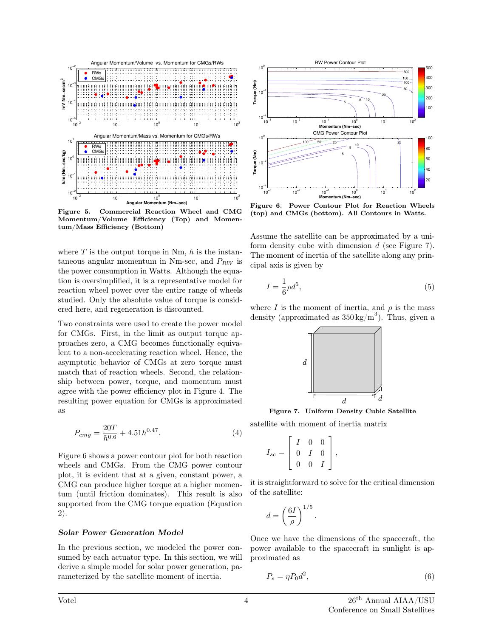

Figure 5. Commercial Reaction Wheel and CMG Momentum/Volume Efficiency (Top) and Momentum/Mass Efficiency (Bottom)

where  $T$  is the output torque in Nm,  $h$  is the instantaneous angular momentum in Nm-sec, and  $P_{RW}$  is the power consumption in Watts. Although the equation is oversimplified, it is a representative model for reaction wheel power over the entire range of wheels studied. Only the absolute value of torque is considered here, and regeneration is discounted.

Two constraints were used to create the power model for CMGs. First, in the limit as output torque approaches zero, a CMG becomes functionally equivalent to a non-accelerating reaction wheel. Hence, the asymptotic behavior of CMGs at zero torque must match that of reaction wheels. Second, the relationship between power, torque, and momentum must agree with the power efficiency plot in Figure 4. The resulting power equation for CMGs is approximated as

$$
P_{cmg} = \frac{20T}{h^{0.6}} + 4.51h^{0.47}.\tag{4}
$$

Figure 6 shows a power contour plot for both reaction wheels and CMGs. From the CMG power contour plot, it is evident that at a given, constant power, a CMG can produce higher torque at a higher momentum (until friction dominates). This result is also supported from the CMG torque equation (Equation 2).

#### Solar Power Generation Model

In the previous section, we modeled the power consumed by each actuator type. In this section, we will derive a simple model for solar power generation, parameterized by the satellite moment of inertia.



Figure 6. Power Contour Plot for Reaction Wheels (top) and CMGs (bottom). All Contours in Watts.

Assume the satellite can be approximated by a uniform density cube with dimension  $d$  (see Figure 7). The moment of inertia of the satellite along any principal axis is given by

$$
I = \frac{1}{6}\rho d^5,\tag{5}
$$

where I is the moment of inertia, and  $\rho$  is the mass density (approximated as  $350 \text{ kg/m}^3$ ). Thus, given a



Figure 7. Uniform Density Cubic Satellite

satellite with moment of inertia matrix

$$
I_{sc} = \left[ \begin{array}{ccc} I & 0 & 0 \\ 0 & I & 0 \\ 0 & 0 & I \end{array} \right],
$$

it is straightforward to solve for the critical dimension of the satellite:

$$
d = \left(\frac{6I}{\rho}\right)^{1/5}.
$$

Once we have the dimensions of the spacecraft, the power available to the spacecraft in sunlight is approximated as

$$
P_s = \eta P_0 d^2,\tag{6}
$$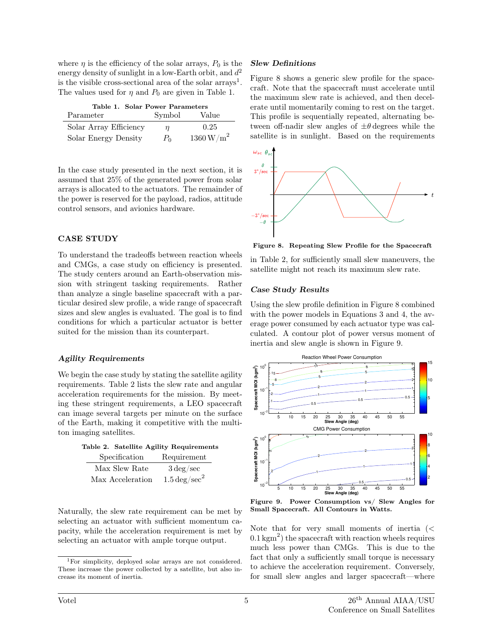where  $\eta$  is the efficiency of the solar arrays,  $P_0$  is the energy density of sunlight in a low-Earth orbit, and  $d^2$ is the visible cross-sectional area of the solar  $\arctan s<sup>1</sup>$ . The values used for  $\eta$  and  $P_0$  are given in Table 1.

|  | Table 1. Solar Power Parameters |
|--|---------------------------------|
|  |                                 |

| Parameter              | Symbol | Value                  |
|------------------------|--------|------------------------|
| Solar Array Efficiency | п      | 0.25                   |
| Solar Energy Density   | $P_0$  | $1360\,\mathrm{W/m}^2$ |

In the case study presented in the next section, it is assumed that 25% of the generated power from solar arrays is allocated to the actuators. The remainder of the power is reserved for the payload, radios, attitude control sensors, and avionics hardware.

## CASE STUDY

To understand the tradeoffs between reaction wheels and CMGs, a case study on efficiency is presented. The study centers around an Earth-observation mission with stringent tasking requirements. Rather than analyze a single baseline spacecraft with a particular desired slew profile, a wide range of spacecraft sizes and slew angles is evaluated. The goal is to find conditions for which a particular actuator is better suited for the mission than its counterpart.

#### Agility Requirements

We begin the case study by stating the satellite agility requirements. Table 2 lists the slew rate and angular acceleration requirements for the mission. By meeting these stringent requirements, a LEO spacecraft can image several targets per minute on the surface of the Earth, making it competitive with the multiton imaging satellites.

|               | Table 2. Satellite Agility Requirements |  |
|---------------|-----------------------------------------|--|
| Specification | Requirement                             |  |

|                  | $-0.00$ m $-0.000$ m $-0.000$ m $-0.000$ |
|------------------|------------------------------------------|
| Max Slew Rate    | $3 \,\text{deg/sec}$                     |
| Max Acceleration | $1.5 \,\mathrm{deg/sec}^2$               |

Naturally, the slew rate requirement can be met by selecting an actuator with sufficient momentum capacity, while the acceleration requirement is met by selecting an actuator with ample torque output.

#### Slew Definitions

Figure 8 shows a generic slew profile for the spacecraft. Note that the spacecraft must accelerate until the maximum slew rate is achieved, and then decelerate until momentarily coming to rest on the target. This profile is sequentially repeated, alternating between off-nadir slew angles of  $\pm\theta$  degrees while the satellite is in sunlight. Based on the requirements



Figure 8. Repeating Slew Profile for the Spacecraft

in Table 2, for sufficiently small slew maneuvers, the satellite might not reach its maximum slew rate.

## Case Study Results

Using the slew profile definition in Figure 8 combined with the power models in Equations 3 and 4, the average power consumed by each actuator type was calculated. A contour plot of power versus moment of inertia and slew angle is shown in Figure 9.



Figure 9. Power Consumption vs/ Slew Angles for Small Spacecraft. All Contours in Watts.

Note that for very small moments of inertia (<  $(0.1 \text{ kgm}^2)$  the spacecraft with reaction wheels requires much less power than CMGs. This is due to the fact that only a sufficiently small torque is necessary to achieve the acceleration requirement. Conversely, for small slew angles and larger spacecraft—where

<sup>1</sup>For simplicity, deployed solar arrays are not considered. These increase the power collected by a satellite, but also increase its moment of inertia.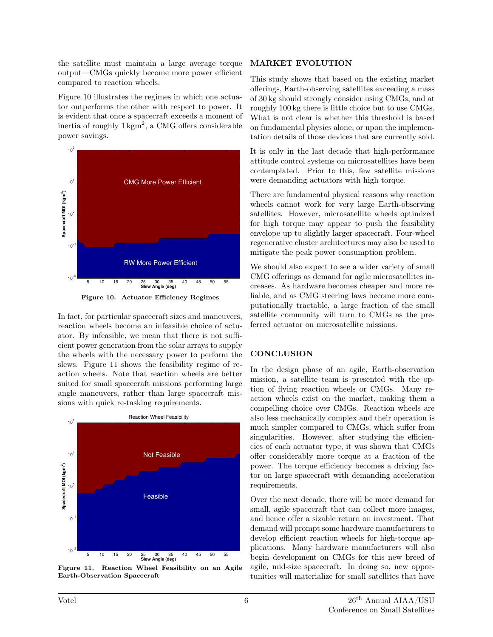the satellite must maintain a large average torque output—CMGs quickly become more power efficient compared to reaction wheels.

Figure 10 illustrates the regimes in which one actuator outperforms the other with respect to power. It is evident that once a spacecraft exceeds a moment of inertia of roughly  $1 \text{ kgm}^2$ , a CMG offers considerable power savings.



Figure 10. Actuator Efficiency Regimes

In fact, for particular spacecraft sizes and maneuvers, reaction wheels become an infeasible choice of actuator. By infeasible, we mean that there is not sufficient power generation from the solar arrays to supply the wheels with the necessary power to perform the slews. Figure 11 shows the feasibility regime of reaction wheels. Note that reaction wheels are better suited for small spacecraft missions performing large angle maneuvers, rather than large spacecraft missions with quick re-tasking requirements.



Figure 11. Reaction Wheel Feasibility on an Agile Earth-Observation Spacecraft

## MARKET EVOLUTION

This study shows that based on the existing market offerings, Earth-observing satellites exceeding a mass of 30 kg should strongly consider using CMGs, and at roughly 100 kg there is little choice but to use CMGs. What is not clear is whether this threshold is based on fundamental physics alone, or upon the implementation details of those devices that are currently sold.

It is only in the last decade that high-performance attitude control systems on microsatellites have been contemplated. Prior to this, few satellite missions were demanding actuators with high torque.

There are fundamental physical reasons why reaction wheels cannot work for very large Earth-observing satellites. However, microsatellite wheels optimized for high torque may appear to push the feasibility envelope up to slightly larger spacecraft. Four-wheel regenerative cluster architectures may also be used to mitigate the peak power consumption problem.

We should also expect to see a wider variety of small CMG offerings as demand for agile microsatellites increases. As hardware becomes cheaper and more reliable, and as CMG steering laws become more computationally tractable, a large fraction of the small satellite community will turn to CMGs as the preferred actuator on microsatellite missions.

# **CONCLUSION**

In the design phase of an agile, Earth-observation mission, a satellite team is presented with the option of flying reaction wheels or CMGs. Many reaction wheels exist on the market, making them a compelling choice over CMGs. Reaction wheels are also less mechanically complex and their operation is much simpler compared to CMGs, which suffer from singularities. However, after studying the efficiencies of each actuator type, it was shown that CMGs offer considerably more torque at a fraction of the power. The torque efficiency becomes a driving factor on large spacecraft with demanding acceleration requirements.

Over the next decade, there will be more demand for small, agile spacecraft that can collect more images, and hence offer a sizable return on investment. That demand will prompt some hardware manufacturers to develop efficient reaction wheels for high-torque applications. Many hardware manufacturers will also begin development on CMGs for this new breed of agile, mid-size spacecraft. In doing so, new opportunities will materialize for small satellites that have